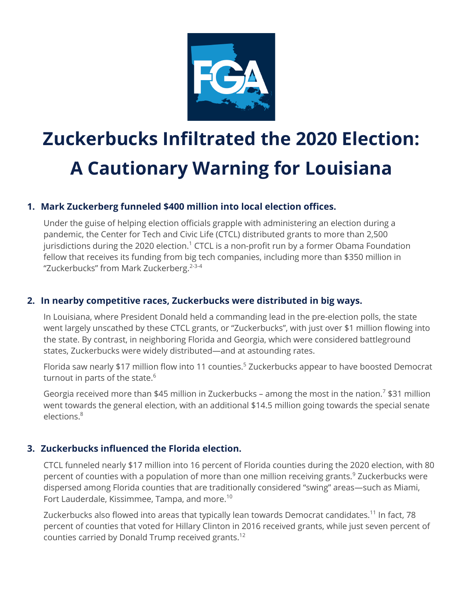

# **Zuckerbucks Infiltrated the 2020 Election: A Cautionary Warning for Louisiana**

## **1. Mark Zuckerberg funneled \$400 million into local election offices.**

Under the guise of helping election officials grapple with administering an election during a pandemic, the Center for Tech and Civic Life (CTCL) distributed grants to more than 2,500 jurisdictions during the 2020 election.<sup>1</sup> CTCL is a non-profit run by a former Obama Foundation fellow that receives its funding from big tech companies, including more than \$350 million in "Zuckerbucks" from Mark Zuckerberg.<sup>2-3-4</sup>

## **2. In nearby competitive races, Zuckerbucks were distributed in big ways.**

In Louisiana, where President Donald held a commanding lead in the pre-election polls, the state went largely unscathed by these CTCL grants, or "Zuckerbucks", with just over \$1 million flowing into the state. By contrast, in neighboring Florida and Georgia, which were considered battleground states, Zuckerbucks were widely distributed—and at astounding rates.

Florida saw nearly \$17 million flow into 11 counties.<sup>5</sup> Zuckerbucks appear to have boosted Democrat turnout in parts of the state.<sup>6</sup>

Georgia received more than \$45 million in Zuckerbucks – among the most in the nation.<sup>7</sup> \$31 million went towards the general election, with an additional \$14.5 million going towards the special senate elections.<sup>8</sup>

## **3. Zuckerbucks influenced the Florida election.**

CTCL funneled nearly \$17 million into 16 percent of Florida counties during the 2020 election, with 80 percent of counties with a population of more than one million receiving grants.<sup>9</sup> Zuckerbucks were dispersed among Florida counties that are traditionally considered "swing" areas—such as Miami, Fort Lauderdale, Kissimmee, Tampa, and more.<sup>10</sup>

Zuckerbucks also flowed into areas that typically lean towards Democrat candidates.<sup>11</sup> In fact, 78 percent of counties that voted for Hillary Clinton in 2016 received grants, while just seven percent of counties carried by Donald Trump received grants. 12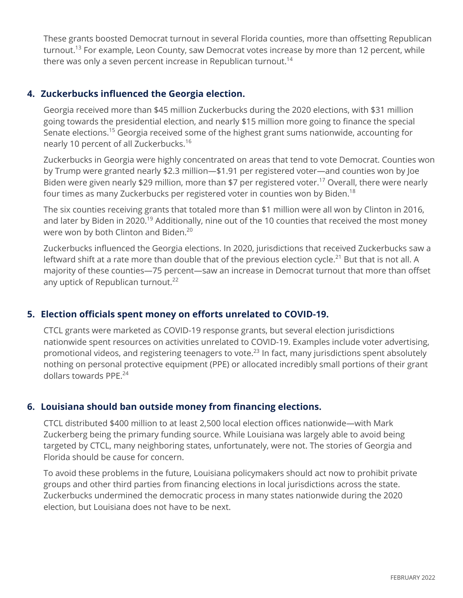These grants boosted Democrat turnout in several Florida counties, more than offsetting Republican turnout.<sup>13</sup> For example, Leon County, saw Democrat votes increase by more than 12 percent, while there was only a seven percent increase in Republican turnout.<sup>14</sup>

#### **4. Zuckerbucks influenced the Georgia election.**

Georgia received more than \$45 million Zuckerbucks during the 2020 elections, with \$31 million going towards the presidential election, and nearly \$15 million more going to finance the special Senate elections.<sup>15</sup> Georgia received some of the highest grant sums nationwide, accounting for nearly 10 percent of all Zuckerbucks.<sup>16</sup>

Zuckerbucks in Georgia were highly concentrated on areas that tend to vote Democrat. Counties won by Trump were granted nearly \$2.3 million—\$1.91 per registered voter—and counties won by Joe Biden were given nearly \$29 million, more than \$7 per registered voter.<sup>17</sup> Overall, there were nearly four times as many Zuckerbucks per registered voter in counties won by Biden. $^{\rm 18}$ 

The six counties receiving grants that totaled more than \$1 million were all won by Clinton in 2016, and later by Biden in 2020.<sup>19</sup> Additionally, nine out of the 10 counties that received the most money were won by both Clinton and Biden.<sup>20</sup>

Zuckerbucks influenced the Georgia elections. In 2020, jurisdictions that received Zuckerbucks saw a leftward shift at a rate more than double that of the previous election cycle.<sup>21</sup> But that is not all. A majority of these counties—75 percent—saw an increase in Democrat turnout that more than offset any uptick of Republican turnout. $^{22}$ 

### **5. Election officials spent money on efforts unrelated to COVID-19.**

CTCL grants were marketed as COVID-19 response grants, but several election jurisdictions nationwide spent resources on activities unrelated to COVID-19. Examples include voter advertising, promotional videos, and registering teenagers to vote.<sup>23</sup> In fact, many jurisdictions spent absolutely nothing on personal protective equipment (PPE) or allocated incredibly small portions of their grant dollars towards PPE.24

#### **6. Louisiana should ban outside money from financing elections.**

CTCL distributed \$400 million to at least 2,500 local election offices nationwide—with Mark Zuckerberg being the primary funding source. While Louisiana was largely able to avoid being targeted by CTCL, many neighboring states, unfortunately, were not. The stories of Georgia and Florida should be cause for concern.

To avoid these problems in the future, Louisiana policymakers should act now to prohibit private groups and other third parties from financing elections in local jurisdictions across the state. Zuckerbucks undermined the democratic process in many states nationwide during the 2020 election, but Louisiana does not have to be next.